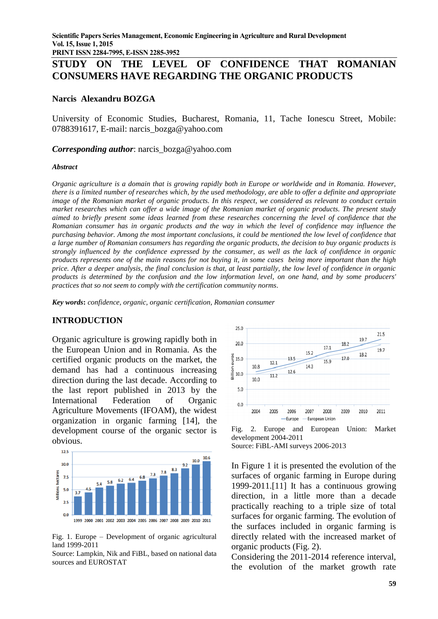**PRINT ISSN 2284-7995, E-ISSN 2285-3952** 

# **STUDY ON THE LEVEL OF CONFIDENCE THAT ROMANIAN CONSUMERS HAVE REGARDING THE ORGANIC PRODUCTS**

#### **Narcis Alexandru BOZGA**

University of Economic Studies, Bucharest, Romania, 11, Tache Ionescu Street, Mobile: 0788391617, E-mail: narcis\_bozga@yahoo.com

*Corresponding author*: narcis\_bozga@yahoo.com

#### *Abstract*

*Organic agriculture is a domain that is growing rapidly both in Europe or worldwide and in Romania. However, there is a limited number of researches which, by the used methodology, are able to offer a definite and appropriate image of the Romanian market of organic products. In this respect, we considered as relevant to conduct certain market researches which can offer a wide image of the Romanian market of organic products. The present study aimed to briefly present some ideas learned from these researches concerning the level of confidence that the Romanian consumer has in organic products and the way in which the level of confidence may influence the purchasing behavior. Among the most important conclusions, it could be mentioned the low level of confidence that a large number of Romanian consumers has regarding the organic products, the decision to buy organic products is strongly influenced by the confidence expressed by the consumer, as well as the lack of confidence in organic products represents one of the main reasons for not buying it, in some cases being more important than the high price. After a deeper analysis, the final conclusion is that, at least partially, the low level of confidence in organic products is determined by the confusion and the low information level, on one hand, and by some producers' practices that so not seem to comply with the certification community norms.*

*Key words***:** *confidence, organic, organic certification, Romanian consumer*

#### **INTRODUCTION**

Organic agriculture is growing rapidly both in the European Union and in Romania. As the certified organic products on the market, the demand has had a continuous increasing direction during the last decade. According to the last report published in 2013 by the International Federation of Organic Agriculture Movements (IFOAM), the widest organization in organic farming [14], the development course of the organic sector is obvious.



Fig. 1. Europe – Development of organic agricultural land 1999-2011

Source: Lampkin, Nik and FiBL, based on national data sources and EUROSTAT



Fig. 2. Europe and European Union: Market development 2004-2011 Source: FiBL-AMI surveys 2006-2013

In Figure 1 it is presented the evolution of the surfaces of organic farming in Europe during 1999-2011.[11] It has a continuous growing direction, in a little more than a decade practically reaching to a triple size of total surfaces for organic farming. The evolution of the surfaces included in organic farming is directly related with the increased market of organic products (Fig. 2).

Considering the 2011-2014 reference interval, the evolution of the market growth rate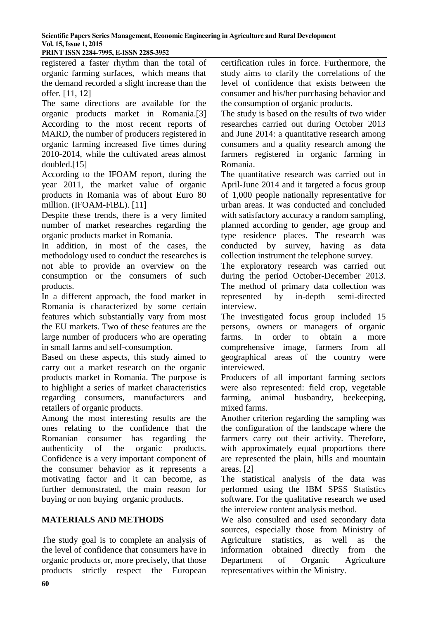**PRINT ISSN 2284-7995, E-ISSN 2285-3952** 

registered a faster rhythm than the total of organic farming surfaces, which means that the demand recorded a slight increase than the offer. [11, 12]

The same directions are available for the organic products market in Romania.[3] According to the most recent reports of MARD, the number of producers registered in organic farming increased five times during 2010-2014, while the cultivated areas almost doubled.[15]

According to the IFOAM report, during the year 2011, the market value of organic products in Romania was of about Euro 80 million. (IFOAM-FiBL). [11]

Despite these trends, there is a very limited number of market researches regarding the organic products market in Romania.

In addition, in most of the cases, the methodology used to conduct the researches is not able to provide an overview on the consumption or the consumers of such products.

In a different approach, the food market in Romania is characterized by some certain features which substantially vary from most the EU markets. Two of these features are the large number of producers who are operating in small farms and self-consumption.

Based on these aspects, this study aimed to carry out a market research on the organic products market in Romania. The purpose is to highlight a series of market characteristics regarding consumers, manufacturers and retailers of organic products.

Among the most interesting results are the ones relating to the confidence that the Romanian consumer has regarding the authenticity of the organic products. Confidence is a very important component of the consumer behavior as it represents a motivating factor and it can become, as further demonstrated, the main reason for buying or non buying organic products.

# **MATERIALS AND METHODS**

The study goal is to complete an analysis of the level of confidence that consumers have in organic products or, more precisely, that those products strictly respect the European

certification rules in force. Furthermore, the study aims to clarify the correlations of the level of confidence that exists between the consumer and his/her purchasing behavior and the consumption of organic products.

The study is based on the results of two wider researches carried out during October 2013 and June 2014: a quantitative research among consumers and a quality research among the farmers registered in organic farming in Romania.

The quantitative research was carried out in April-June 2014 and it targeted a focus group of 1,000 people nationally representative for urban areas. It was conducted and concluded with satisfactory accuracy a random sampling, planned according to gender, age group and type residence places. The research was conducted by survey, having as data collection instrument the telephone survey.

The exploratory research was carried out during the period October-December 2013. The method of primary data collection was represented by in-depth semi-directed interview.

The investigated focus group included 15 persons, owners or managers of organic farms. In order to obtain a more comprehensive image, farmers from all geographical areas of the country were interviewed.

Producers of all important farming sectors were also represented: field crop, vegetable farming, animal husbandry, beekeeping, mixed farms.

Another criterion regarding the sampling was the configuration of the landscape where the farmers carry out their activity. Therefore, with approximately equal proportions there are represented the plain, hills and mountain areas. [2]

The statistical analysis of the data was performed using the IBM SPSS Statistics software. For the qualitative research we used the interview content analysis method.

We also consulted and used secondary data sources, especially those from Ministry of Agriculture statistics, as well as the information obtained directly from the Department of Organic Agriculture representatives within the Ministry.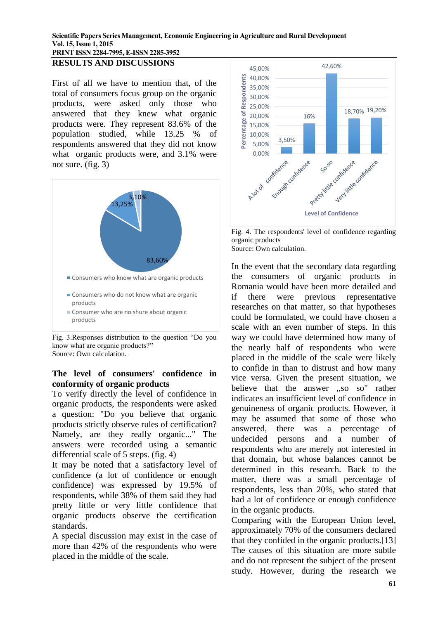#### **PRINT ISSN 2284-7995, E-ISSN 2285-3952 RESULTS AND DISCUSSIONS**

First of all we have to mention that, of the total of consumers focus group on the organic products, were asked only those who answered that they knew what organic products were. They represent 83.6% of the population studied, while 13.25 % of respondents answered that they did not know what organic products were, and 3.1% were not sure. (fig. 3)



Fig. 3.Responses distribution to the question "Do you know what are organic products?" Source: Own calculation.

# **The level of consumers' confidence in conformity of organic products**

To verify directly the level of confidence in organic products, the respondents were asked a question: "Do you believe that organic products strictly observe rules of certification? Namely, are they really organic..." The answers were recorded using a semantic differential scale of 5 steps. (fig. 4)

It may be noted that a satisfactory level of confidence (a lot of confidence or enough confidence) was expressed by 19.5% of respondents, while 38% of them said they had pretty little or very little confidence that organic products observe the certification standards.

A special discussion may exist in the case of more than 42% of the respondents who were placed in the middle of the scale.



Fig. 4. The respondents' level of confidence regarding organic products Source: Own calculation.

In the event that the secondary data regarding the consumers of organic products in Romania would have been more detailed and if there were previous representative researches on that matter, so that hypotheses could be formulated, we could have chosen a scale with an even number of steps. In this way we could have determined how many of the nearly half of respondents who were placed in the middle of the scale were likely to confide in than to distrust and how many vice versa. Given the present situation, we believe that the answer ,,so so" rather indicates an insufficient level of confidence in genuineness of organic products. However, it may be assumed that some of those who answered, there was a percentage of undecided persons and a number of respondents who are merely not interested in that domain, but whose balances cannot be determined in this research. Back to the matter, there was a small percentage of respondents, less than 20%, who stated that had a lot of confidence or enough confidence in the organic products.

Comparing with the European Union level, approximately 70% of the consumers declared that they confided in the organic products.[13] The causes of this situation are more subtle and do not represent the subject of the present study. However, during the research we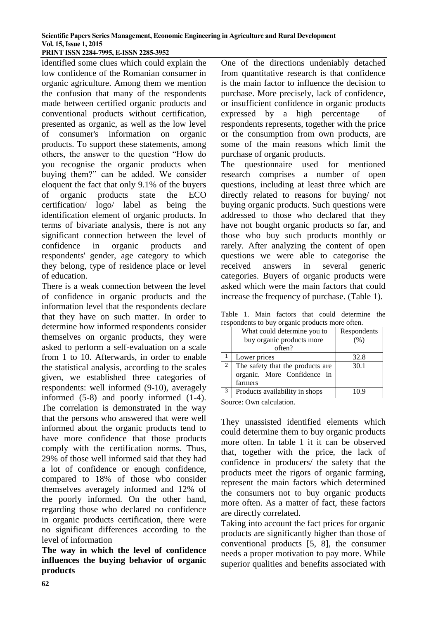#### **Scientific Papers Series Management, Economic Engineering in Agriculture and Rural Development Vol. 15, Issue 1, 2015 PRINT ISSN 2284-7995, E-ISSN 2285-3952**

identified some clues which could explain the low confidence of the Romanian consumer in organic agriculture. Among them we mention the confusion that many of the respondents made between certified organic products and conventional products without certification, presented as organic, as well as the low level of consumer's information on organic products. To support these statements, among others, the answer to the question "How do you recognise the organic products when buying them?" can be added. We consider eloquent the fact that only 9.1% of the buyers of organic products state the ECO certification/ logo/ label as being the identification element of organic products. In terms of bivariate analysis, there is not any significant connection between the level of confidence in organic products and respondents' gender, age category to which they belong, type of residence place or level of education.

There is a weak connection between the level of confidence in organic products and the information level that the respondents declare that they have on such matter. In order to determine how informed respondents consider themselves on organic products, they were asked to perform a self-evaluation on a scale from 1 to 10. Afterwards, in order to enable the statistical analysis, according to the scales given, we established three categories of respondents: well informed (9-10), averagely informed (5-8) and poorly informed (1-4). The correlation is demonstrated in the way that the persons who answered that were well informed about the organic products tend to have more confidence that those products comply with the certification norms. Thus, 29% of those well informed said that they had a lot of confidence or enough confidence, compared to 18% of those who consider themselves averagely informed and 12% of the poorly informed. On the other hand, regarding those who declared no confidence in organic products certification, there were no significant differences according to the level of information

**The way in which the level of confidence influences the buying behavior of organic products**

One of the directions undeniably detached from quantitative research is that confidence is the main factor to influence the decision to purchase. More precisely, lack of confidence, or insufficient confidence in organic products expressed by a high percentage of respondents represents, together with the price or the consumption from own products, are some of the main reasons which limit the purchase of organic products.

The questionnaire used for mentioned research comprises a number of open questions, including at least three which are directly related to reasons for buying/ not buying organic products. Such questions were addressed to those who declared that they have not bought organic products so far, and those who buy such products monthly or rarely. After analyzing the content of open questions we were able to categorise the received answers in several generic categories. Buyers of organic products were asked which were the main factors that could increase the frequency of purchase. (Table 1).

Table 1. Main factors that could determine the respondents to buy organic products more often.

|   | What could determine you to      | Respondents |
|---|----------------------------------|-------------|
|   | buy organic products more        | (%)         |
|   | often?                           |             |
|   | Lower prices                     | 32.8        |
| 2 | The safety that the products are | 30.1        |
|   | organic. More Confidence in      |             |
|   | farmers                          |             |
| 3 | Products availability in shops   | 10.9        |

Source: Own calculation.

They unassisted identified elements which could determine them to buy organic products more often. In table 1 it it can be observed that, together with the price, the lack of confidence in producers/ the safety that the products meet the rigors of organic farming, represent the main factors which determined the consumers not to buy organic products more often. As a matter of fact, these factors are directly correlated.

Taking into account the fact prices for organic products are significantly higher than those of conventional products [5, 8], the consumer needs a proper motivation to pay more. While superior qualities and benefits associated with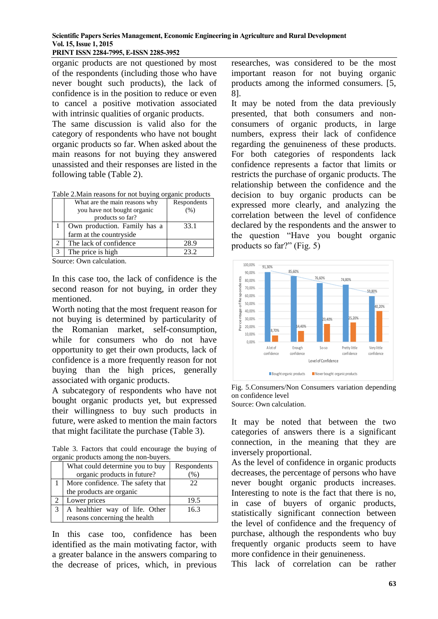### **PRINT ISSN 2284-7995, E-ISSN 2285-3952**

organic products are not questioned by most of the respondents (including those who have never bought such products), the lack of confidence is in the position to reduce or even to cancel a positive motivation associated with intrinsic qualities of organic products.

The same discussion is valid also for the category of respondents who have not bought organic products so far. When asked about the main reasons for not buying they answered unassisted and their responses are listed in the following table (Table 2).

| Table 2. Main reasons for not buying organic products |  |  |  |
|-------------------------------------------------------|--|--|--|
|                                                       |  |  |  |
|                                                       |  |  |  |

| What are the main reasons why | Respondents |
|-------------------------------|-------------|
| you have not bought organic   | (% )        |
| products so far?              |             |
| Own production. Family has a  | 33.1        |
| farm at the countryside       |             |
| The lack of confidence        | 28.9        |
| The price is high             | 23.2        |

Source: Own calculation.

In this case too, the lack of confidence is the second reason for not buying, in order they mentioned.

Worth noting that the most frequent reason for not buying is determined by particularity of the Romanian market, self-consumption, while for consumers who do not have opportunity to get their own products, lack of confidence is a more frequently reason for not buying than the high prices, generally associated with organic products.

A subcategory of respondents who have not bought organic products yet, but expressed their willingness to buy such products in future, were asked to mention the main factors that might facilitate the purchase (Table 3).

Table 3. Factors that could encourage the buying of organic products among the non-buyers.

|   | What could determine you to buy  | Respondents |
|---|----------------------------------|-------------|
|   | organic products in future?      | $\%$        |
|   | More confidence. The safety that | 22          |
|   | the products are organic         |             |
|   | Lower prices                     | 19.5        |
| 3 | A healthier way of life. Other   | 16.3        |
|   | reasons concerning the health    |             |

In this case too, confidence has been identified as the main motivating factor, with a greater balance in the answers comparing to the decrease of prices, which, in previous researches, was considered to be the most important reason for not buying organic products among the informed consumers. [5, 8].

It may be noted from the data previously presented, that both consumers and nonconsumers of organic products, in large numbers, express their lack of confidence regarding the genuineness of these products. For both categories of respondents lack confidence represents a factor that limits or restricts the purchase of organic products. The relationship between the confidence and the decision to buy organic products can be expressed more clearly, and analyzing the correlation between the level of confidence declared by the respondents and the answer to the question "Have you bought organic products so far?" (Fig. 5)



Fig. 5.Consumers/Non Consumers variation depending on confidence level Source: Own calculation.

It may be noted that between the two categories of answers there is a significant connection, in the meaning that they are inversely proportional.

As the level of confidence in organic products decreases, the percentage of persons who have never bought organic products increases. Interesting to note is the fact that there is no, in case of buyers of organic products, statistically significant connection between the level of confidence and the frequency of purchase, although the respondents who buy frequently organic products seem to have more confidence in their genuineness.

This lack of correlation can be rather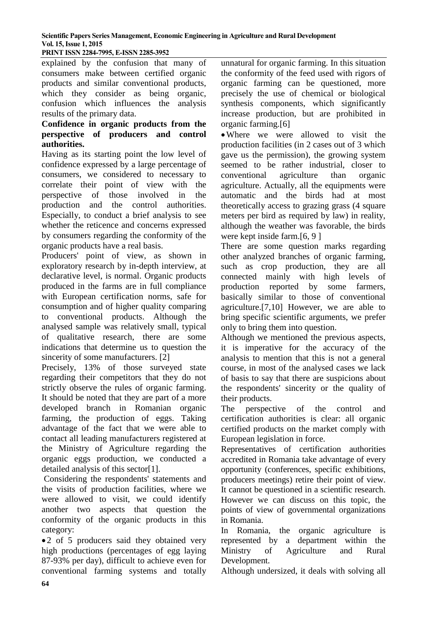**PRINT ISSN 2284-7995, E-ISSN 2285-3952** 

explained by the confusion that many of consumers make between certified organic products and similar conventional products, which they consider as being organic, confusion which influences the analysis results of the primary data.

### **Confidence in organic products from the perspective of producers and control authorities.**

Having as its starting point the low level of confidence expressed by a large percentage of consumers, we considered to necessary to correlate their point of view with the perspective of those involved in the production and the control authorities. Especially, to conduct a brief analysis to see whether the reticence and concerns expressed by consumers regarding the conformity of the organic products have a real basis.

Producers' point of view, as shown in exploratory research by in-depth interview, at declarative level, is normal. Organic products produced in the farms are in full compliance with European certification norms, safe for consumption and of higher quality comparing to conventional products. Although the analysed sample was relatively small, typical of qualitative research, there are some indications that determine us to question the sincerity of some manufacturers. [2]

Precisely, 13% of those surveyed state regarding their competitors that they do not strictly observe the rules of organic farming. It should be noted that they are part of a more developed branch in Romanian organic farming, the production of eggs. Taking advantage of the fact that we were able to contact all leading manufacturers registered at the Ministry of Agriculture regarding the organic eggs production, we conducted a detailed analysis of this sector[1].

Considering the respondents' statements and the visits of production facilities, where we were allowed to visit, we could identify another two aspects that question the conformity of the organic products in this category:

 2 of 5 producers said they obtained very high productions (percentages of egg laying 87-93% per day), difficult to achieve even for conventional farming systems and totally

unnatural for organic farming. In this situation the conformity of the feed used with rigors of organic farming can be questioned, more precisely the use of chemical or biological synthesis components, which significantly increase production, but are prohibited in organic farming.[6]

Where we were allowed to visit the production facilities (in 2 cases out of 3 which gave us the permission), the growing system seemed to be rather industrial, closer to conventional agriculture than organic agriculture. Actually, all the equipments were automatic and the birds had at most theoretically access to grazing grass (4 square meters per bird as required by law) in reality, although the weather was favorable, the birds were kept inside farm.[6, 9 ]

There are some question marks regarding other analyzed branches of organic farming, such as crop production, they are all connected mainly with high levels of production reported by some farmers, basically similar to those of conventional agriculture.[7,10] However, we are able to bring specific scientific arguments, we prefer only to bring them into question.

Although we mentioned the previous aspects, it is imperative for the accuracy of the analysis to mention that this is not a general course, in most of the analysed cases we lack of basis to say that there are suspicions about the respondents' sincerity or the quality of their products.

The perspective of the control and certification authorities is clear: all organic certified products on the market comply with European legislation in force.

Representatives of certification authorities accredited in Romania take advantage of every opportunity (conferences, specific exhibitions, producers meetings) retire their point of view. It cannot be questioned in a scientific research. However we can discuss on this topic, the points of view of governmental organizations in Romania.

In Romania, the organic agriculture is represented by a department within the Ministry of Agriculture and Rural Development.

Although undersized, it deals with solving all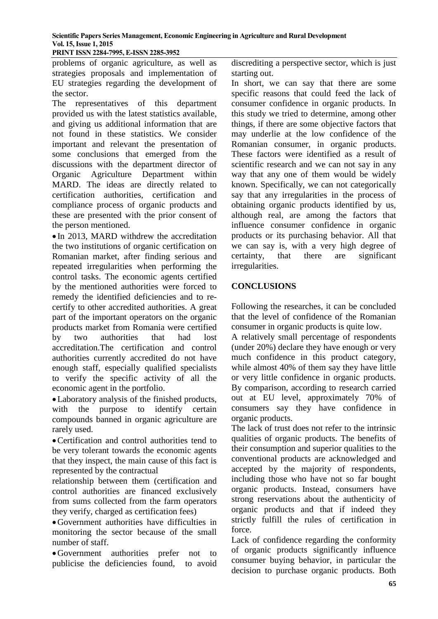**PRINT ISSN 2284-7995, E-ISSN 2285-3952** 

problems of organic agriculture, as well as strategies proposals and implementation of EU strategies regarding the development of the sector.

The representatives of this department provided us with the latest statistics available, and giving us additional information that are not found in these statistics. We consider important and relevant the presentation of some conclusions that emerged from the discussions with the department director of Organic Agriculture Department within MARD. The ideas are directly related to certification authorities, certification and compliance process of organic products and these are presented with the prior consent of the person mentioned.

• In 2013, MARD withdrew the accreditation the two institutions of organic certification on Romanian market, after finding serious and repeated irregularities when performing the control tasks. The economic agents certified by the mentioned authorities were forced to remedy the identified deficiencies and to recertify to other accredited authorities. A great part of the important operators on the organic products market from Romania were certified by two authorities that had lost accreditation.The certification and control authorities currently accredited do not have enough staff, especially qualified specialists to verify the specific activity of all the economic agent in the portfolio.

Laboratory analysis of the finished products, with the purpose to identify certain compounds banned in organic agriculture are rarely used.

Certification and control authorities tend to be very tolerant towards the economic agents that they inspect, the main cause of this fact is represented by the contractual

relationship between them (certification and control authorities are financed exclusively from sums collected from the farm operators they verify, charged as certification fees)

Government authorities have difficulties in monitoring the sector because of the small number of staff.

Government authorities prefer not to publicise the deficiencies found, to avoid

discrediting a perspective sector, which is just starting out.

In short, we can say that there are some specific reasons that could feed the lack of consumer confidence in organic products. In this study we tried to determine, among other things, if there are some objective factors that may underlie at the low confidence of the Romanian consumer, in organic products. These factors were identified as a result of scientific research and we can not say in any way that any one of them would be widely known. Specifically, we can not categorically say that any irregularities in the process of obtaining organic products identified by us, although real, are among the factors that influence consumer confidence in organic products or its purchasing behavior. All that we can say is, with a very high degree of certainty, that there are significant irregularities.

# **CONCLUSIONS**

Following the researches, it can be concluded that the level of confidence of the Romanian consumer in organic products is quite low.

A relatively small percentage of respondents (under 20%) declare they have enough or very much confidence in this product category, while almost 40% of them say they have little or very little confidence in organic products. By comparison, according to research carried out at EU level, approximately 70% of consumers say they have confidence in organic products.

The lack of trust does not refer to the intrinsic qualities of organic products. The benefits of their consumption and superior qualities to the conventional products are acknowledged and accepted by the majority of respondents, including those who have not so far bought organic products. Instead, consumers have strong reservations about the authenticity of organic products and that if indeed they strictly fulfill the rules of certification in force.

Lack of confidence regarding the conformity of organic products significantly influence consumer buying behavior, in particular the decision to purchase organic products. Both